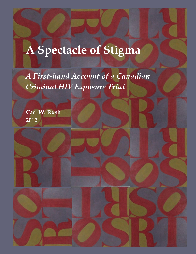# **A Spectacle of Stigma**

*A First-hand Account of a Canadian Criminal HIV Exposure Trial*

**Carl W. Rush 2012**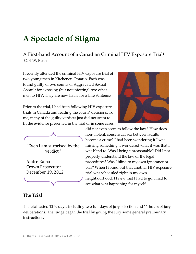# **A Spectacle of Stigma**

A First-hand Account of a Canadian Criminal HIV Exposure Trial<sup>1</sup> Carl W. Rush

I recently attended the criminal HIV exposure trial of two young men in Kitchener, Ontario. Each was found guilty of two counts of Aggravated Sexual Assault for exposing (but not infecting) two other men to HIV. They are now liable for a Life Sentence.

Prior to the trial, I had been following HIV exposure trials in Canada and reading the courts' decisions. To me, many of the guilty verdicts just did not seem to fit the evidence presented in the trial or in some cases

$$
\overbrace{\hspace{4.5cm}}
$$

"Even I am surprised by the verdict."

Andre Rajna Crown Prosecutor December 19, 2012



did not even seem to follow the law.<sup>2</sup> How does non-violent, consensual sex between adults become a crime? I had been wondering if I was missing something; I wondered what it was that I was blind to. Was I being unreasonable? Did I not properly understand the law or the legal procedures? Was I blind to my own ignorance or bias? When I found out that another HIV exposure trial was scheduled right in my own neighbourhood, I knew that I had to go. I had to see what was happening for myself.

# **The Trial**

The trial lasted 12  $\frac{1}{2}$  days, including two full days of jury selection and 11 hours of jury deliberations. The Judge began the trial by giving the Jury some general preliminary instructions.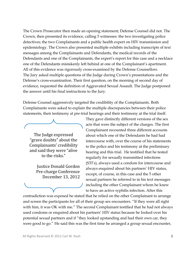The Crown Prosecutor then made an opening statement; Defense Counsel did not. The Crown, then presented its evidence, calling 5 witnesses: the two investigating police detectives; the two Complainants and a public health expert on HIV transmission and epidemiology. The Crown also presented multiple exhibits including transcripts of text messages among the Complainants and Defendants, the medical records of the Defendants and one of the Complainants, the expert's report for this case and a necklace one of the Defendants mistakenly left behind at one of the Complainant's apartment. All of this evidence was rigorously cross-examined by the Defense Counsellors. The Jury asked multiple questions of the Judge during Crown's presentations and the Defense's cross-examination. Their first question, on the morning of second day of evidence, requested the definition of Aggravated Sexual Assault. The Judge postponed the answer until his final instructions to the Jury.

Defense Counsel aggressively targeted the credibility of the Complainants. Both Complainants were asked to explain the multiple discrepancies between their police statements, their testimony at pre-trial hearings and their testimony at the trial itself.



The Judge expressed "grave doubts" about the Complainants' credibility and said they were "alive to the risks."

> Justice Donald Gordon Pre-charge Conference December 13, 2012

They gave distinctly different versions of the sex acts that were the subject of the charges. The first Complainant recounted three different accounts about which one of the Defendants he had had intercourse with, over the course of his statements to the police and his testimony at the preliminary hearing and this trial. He testified that he tested regularly for sexually transmitted infections (STI's), always used a condom for intercourse and always enquired about his partners' HIV status, except, of course, in this case and the 5 other sexual partners he referred to in his text messages including the other Complainant whom he knew to have an active syphilis infection. After this

contradiction was exposed he stated that he relied on the other Complainant to arrange and screen the participants for all of their group sex encounters. "If they were all right with him, it was OK with me." The second Complainant testified that he had not always used condoms or enquired about his partners' HIV status because he looked over his potential sexual partners and if "they looked upstanding and had their own car, they were good to go." He said this was the first time he arranged a group sexual encounter,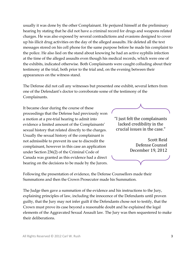usually it was done by the other Complainant. He perjured himself at the preliminary hearing by stating that he did not have a criminal record for drugs and weapons related charges. He was also exposed by several contradictions and evasions designed to cover up his illicit drug activities on the day of the alleged assaults. He deleted all the text messages stored on his cell phone for the same purpose before he made his complaint to the police. He also lied on the stand about knowing he had an active syphilis infection at the time of the alleged assaults even though his medical records, which were one of the exhibits, indicated otherwise. Both Complainants were caught colluding about their testimony at the trial, both prior to the trial and, on the evening between their appearances on the witness stand.

The Defense did not call any witnesses but presented one exhibit, several letters from one of the Defendant's doctor to corroborate some of the testimony of the Complainants.

It became clear during the course of these proceedings that the Defense had previously won a motion at a pre-trial hearing to admit into evidence a limited amount of the Complainants' sexual history that related directly to the charges. Usually the sexual history of the complainant is not admissible to prevent its use to discredit the complainant, however in this case an application under Section 236(2) of the Criminal Code of Canada was granted as this evidence had a direct bearing on the decisions to be made by the Jurors.



"I just felt the complainants lacked credibility in the crucial issues in the case."

Scott Reid Defense Counsel December 19, 2012

Following the presentation of evidence, the Defense Counsellors made their Summations and then the Crown Prosecutor made his Summation.

The Judge then gave a summation of the evidence and his instructions to the Jury, explaining principles of law, including the innocence of the Defendants until proven guilty, that the Jury may not infer guilt if the Defendants chose not to testify, that the Crown must prove its case beyond a reasonable doubt and he explained the legal elements of the Aggravated Sexual Assault law. The Jury was then sequestered to make their deliberations.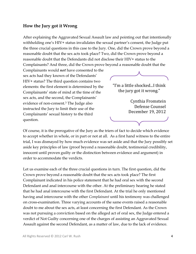#### **How the Jury got it Wrong**

After explaining the Aggravated Sexual Assault law and pointing out that intentionally withholding one's HIV+ status invalidates the sexual partner's consent, the Judge put the three crucial questions in this case to the Jury. One, did the Crown prove beyond a reasonable doubt that the sex acts took place? Two, did the Crown prove beyond a reasonable doubt that the Defendants did not disclose their HIV+ status to the Complainants? And three, did the Crown prove beyond a reasonable doubt that the

Complainants would *not* have consented to the sex acts had they known of the Defendants' HIV+ status? The third question contains two elements: the first element is determined by the Complainants' state of mind at the time of the sex acts, and the second, the Complainants' evidence of non-consent.<sup>3</sup> The Judge also instructed the Jury to limit their use of the Complainants' sexual history to the third question.



Cynthia Fromstein Defense Counsel December 19, 2012

Of course, it is the prerogative of the Jury as the triers of fact to decide which evidence to accept whether in whole, or in part or not at all. As a first hand witness to the entire trial, I was dismayed by how much evidence was set aside and that the Jury possibly set aside key principles of law (proof beyond a reasonable doubt, testimonial credibility, innocent until proven guilty or the distinction between evidence and argument) in order to accommodate the verdicts.

Let us examine each of the three crucial questions in turn. The first question, did the Crown prove beyond a reasonable doubt that the sex acts took place? The first Complainant indicated in his police statement that he had oral sex with the second Defendant and anal intercourse with the other. At the preliminary hearing he stated that he had anal intercourse with the first Defendant. At the trial he only mentioned having anal intercourse with the other *Complainant* until his testimony was challenged on cross-examination. Three varying accounts of the same events raised a reasonable doubt to me about the sex acts, at least concerning the first Defendant. As the Crown was not pursuing a conviction based on the alleged act of oral sex, the Judge entered a verdict of Not Guilty concerning one of the charges of assisting an Aggravated Sexual Assault against the second Defendant, as a matter of law, due to the lack of evidence.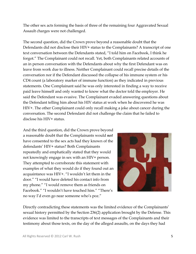The other sex acts forming the basis of three of the remaining four Aggravated Sexual Assault charges were not challenged.

The second question, did the Crown prove beyond a reasonable doubt that the Defendants did not disclose their HIV+ status to the Complainants? A transcript of one text conversation between the Defendants stated, "I told him on Facebook, I think he forgot." The Complainant could not recall. Yet, both Complainants related accounts of an in person conversation with the Defendants about why the first Defendant was on leave from work due to illness. Neither Complainant could recall precise details of the conversation nor if the Defendant discussed the collapse of his immune system or his CD4 count (a laboratory marker of immune function) as they indicated in previous statements. One Complainant said he was only interested in finding a way to receive paid leave himself and only wanted to know what the doctor told the employer. He said the Defendant was evasive. The Complainant evaded answering questions about the Defendant telling him about his HIV status at work when he discovered he was HIV+. The other Complainant could only recall making a joke about cancer during the conversation. The second Defendant did not challenge the claim that he failed to disclose his HIV+ status.

And the third question, did the Crown prove beyond a reasonable doubt that the Complainants would *not* have consented to the sex acts had they known of the defendants' HIV+ status? Both Complainants repeatedly and emphatically stated that they would not knowingly engage in sex with an HIV+ person. They attempted to corroborate this statement with examples of what they would do if they found out an acquaintance was HIV+. "I wouldn't let them in the door." "I would have deleted his contact info from my phone." "I would remove them as friends on Facebook." "I wouldn't have touched him." "There's no way I'd even go near someone who's poz."



Directly contradicting these statements was the limited evidence of the Complainants' sexual history permitted by the Section 236(2) application brought by the Defense. This evidence was limited to the transcripts of text messages of the Complainants and their testimony about those texts, on the day of the alleged assaults, on the days they had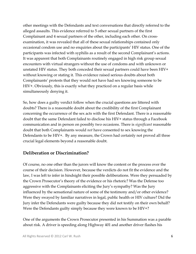other meetings with the Defendants and text conversations that directly referred to the alleged assaults. This evidence referred to 5 other sexual partners of the first Complainant and 4 sexual partners of the other, including each other. On crossexamination, it was revealed that all of these sexual relationships contained only occasional condom use and no enquiries about the participants' HIV status. One of the participants was infected with syphilis as a result of the second Complainant's actions. It was apparent that both Complainants routinely engaged in high risk group sexual encounters with virtual strangers without the use of condoms and with unknown or unstated HIV status. They both conceded their sexual partners could have been HIV+ without knowing or stating it. This evidence raised serious doubts about both Complainants' protests that they would not have had sex knowing someone to be HIV+. Obviously, this is exactly what they practiced on a regular basis while simultaneously denying it.

So, how does a guilty verdict follow when the crucial questions are littered with doubts? There is a reasonable doubt about the credibility of the first Complainant concerning the occurrence of the sex acts with the first Defendant. There is a reasonable doubt that the same Defendant failed to disclose his HIV+ status through a Facebook communication and in person on possibly two occasions. There is *significant* reasonable doubt that both Complainants would *not* have consented to sex knowing the Defendants to be HIV+. By any measure, the Crown had certainly not proved all three crucial legal elements beyond a reasonable doubt.

#### **Deliberation or Discrimination?**

Of course, no one other than the jurors will know the content or the process over the course of their decision. However, because the verdicts do not fit the evidence and the law, I was left to infer in hindsight their possible deliberations. Were they persuaded by the Crown Prosecutor's theory of the evidence or his rhetoric? Was the Defense too aggressive with the Complainants eliciting the Jury's sympathy? Was the Jury influenced by the sensational nature of some of the testimony and/or other evidence? Were they swayed by familiar narratives in legal, public health or HIV culture? Did the Jury infer the Defendants were guilty because they did not testify on their own behalf? Were the Defendants guilty simply because they were known to be HIV+?

One of the arguments the Crown Prosecutor presented in his Summation was a parable about risk. A driver is speeding along Highway 401 and another driver flashes his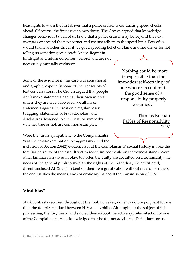headlights to warn the first driver that a police cruiser is conducting speed checks ahead. Of course, the first driver slows down. The Crown argued that knowledge changes behaviour but all of us know that a police cruiser may be beyond the next overpass or around the next corner and we just adhere to the speed limit. Few of us would blame another driver if we got a speeding ticket or blame another driver for not

telling us something we already knew. Regret in hindsight and informed consent beforehand are not necessarily mutually exclusive.

Some of the evidence in this case was sensational and graphic, especially some of the transcripts of text conversations. The Crown argued that people don't make statements against their own interest unless they are true. However, we all make statements against interest on a regular basis: bragging, statements of bravado, jokes, and disclosures designed to elicit trust or sympathy whether true or not, are common examples.

"Nothing could be more irresponsible than the immodest self-certainty of one who rests content in the good sense of a responsibility properly assumed."

Thomas Keenan Fables of Responsibility 1997

Were the Jurors sympathetic to the Complainants? Was the cross-examination too aggressive? Did the

inclusion of Section 236(2) evidence about the Complainants' sexual history invoke the familiar narrative of the assault victim re-victimized while on the witness stand? Were other familiar narratives in play: too often the guilty are acquitted on a technicality; the needs of the general public outweigh the rights of the individual; the embittered, disenfranchised AIDS victim bent on their own gratification without regard for others; the end justifies the means, and/or erotic myths about the transmission of HIV?

#### **Viral bias?**

Stark contrasts recurred throughout the trial, however; none was more poignant for me than the double standard between HIV and syphilis. Although not the subject of this proceeding, the Jury heard and saw evidence about the active syphilis infection of one of the Complainants. He acknowledged that he did not advise the Defendants or use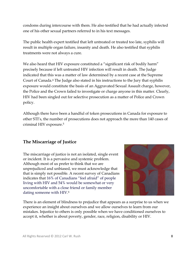condoms during intercourse with them. He also testified that he had actually infected one of his other sexual partners referred to in his text messages.

The public health expert testified that left untreated or treated too late, syphilis will result in multiple organ failure, insanity and death. He also testified that syphilis treatments were not always a cure.

We also heard that HIV exposure constituted a "significant risk of bodily harm" precisely because if left untreated HIV infection will result in death. The Judge indicated that this was a matter of law determined by a recent case at the Supreme Court of Canada.<sup>4</sup> The Judge also stated in his instructions to the Jury that syphilis exposure would constitute the basis of an Aggravated Sexual Assault charge, however, the Police and the Crown failed to investigate or charge anyone in this matter. Clearly, HIV had been singled out for selective prosecution as a matter of Police and Crown policy.

Although there have been a handful of token prosecutions in Canada for exposure to other STI's, the number of prosecutions does not approach the more than 140 cases of criminal HIV exposure.<sup>5</sup>

# **The Miscarriage of Justice**

The miscarriage of justice is not an isolated, single event or incident. It is a pervasive and systemic problem. Although most of us prefer to think that we are unprejudiced and unbiased, we must acknowledge that that is simply not possible. A recent survey of Canadians indicates that 16% of Canadians "feel afraid" of people living with HIV and 54% would be somewhat or very uncomfortable with a close friend or family member dating someone with HIV. 6



There is an element of blindness to prejudice that appears as a surprise to us when we experience an insight about ourselves and we allow ourselves to learn from our mistakes. Injustice to others is only possible when we have conditioned ourselves to accept it, whether is about poverty, gender, race, religion, disability or HIV.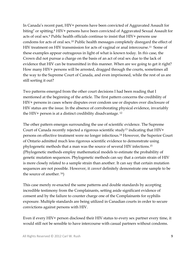In Canada's recent past, HIV+ persons have been convicted of Aggravated Assault for biting<sup>7</sup> or spitting. <sup>8</sup> HIV+ persons have been convicted of Aggravated Sexual Assault for acts of oral sex.<sup>9</sup> Public health officials continue to insist that HIV+ persons use condoms for acts of oral sex.<sup>10</sup> Public health messages completely disregard the effect of HIV treatment on HIV transmission for acts of vaginal or anal intercourse.<sup>11</sup> Some of these examples appear outrageous in light of what is known today. In *this* case, the Crown did not pursue a charge on the basis of an act of oral sex due to the lack of evidence that HIV can be transmitted in this manner. When are we going to get it right? How many HIV+ persons will be arrested, dragged through the courts, sometimes all the way to the Supreme Court of Canada, and even imprisoned, while the rest of us are still sorting it out?

Two patterns emerged from the other court decisions I had been reading that I mentioned at the beginning of the article. The first pattern concerns the credibility of HIV+ persons in cases where disputes over condom use or disputes over disclosure of HIV status are the issue. In the absence of corroborating physical evidence, invariably the HIV+ person is at a distinct credibility disadvantage. <sup>12</sup>

The other pattern emerges surrounding the use of scientific evidence. The Supreme Court of Canada recently rejected a rigorous scientific study<sup>13</sup> indicating that  $HIV+$ persons on effective treatment were no longer infectious.<sup>14</sup> However, the Superior Court of Ontario admitted much less rigorous scientific evidence to demonstrate using phylogenetic methods that a man was the source of several HIV infections.<sup>15</sup> (Phylogenetic methods employ mathematical models to estimate the probability of genetic mutation sequences. Phylogenetic methods can say that a certain strain of HIV is more closely related to a sample strain than another. It can say that certain mutation sequences are not possible. However, it *cannot* definitely demonstrate one sample to be the source of another. <sup>16</sup>)

This case merely re-enacted the same patterns and double standards by accepting incredible testimony from the Complainants, setting aside significant evidence of consent and by the failure to counter charge one of the Complainants for syphilis exposure. Multiple standards are being utilized in Canadian courts in order to secure convictions against persons with HIV.

Even if every HIV+ person disclosed their HIV status to every sex partner every time, it would still not be sensible to have intercourse with casual partners without condoms.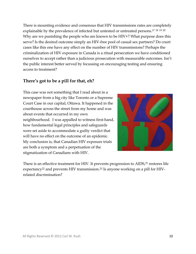There is mounting evidence and consensus that HIV transmissions rates are completely explainable by the prevalence of infected but untested or untreated persons. 17 18 19 20 Why are we punishing the people who are known to be HIV+? What purpose does this serve? Is the desired outcome simply an HIV-free pool of casual sex partners? Do court cases like this one have any effect on the number of HIV transmissions? Perhaps the criminalization of HIV exposure in Canada is a ritual persecution we have conditioned ourselves to accept rather than a judicious prosecution with measurable outcomes. Isn't the public interest better served by focussing on encouraging testing and ensuring access to treatment?

### **There's got to be a pill for that, eh?**

This case was not something that I read about in a newspaper from a big city like Toronto or a Supreme Court Case in our capital, Ottawa. It happened in the courthouse across the street from my home and was about events that occurred in my own neighbourhood. I was appalled to witness first-hand, how fundamental legal principles and safeguards were set aside to accommodate a guilty verdict that will have no effect on the outcome of an epidemic. My conclusion is, that Canadian HIV exposure trials are both a symptom and a perpetuation of the stigmatization of Canadians with HIV.



There is an effective treatment for HIV. It prevents progression to AIDS,<sup>21</sup> restores life expectancy<sup>22</sup> and prevents HIV transmission.<sup>23</sup> Is anyone working on a pill for HIVrelated discrimination?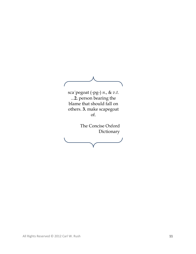$\sqrt{2}$ sca´pegoat (-pg-) *n*., & *v*.*t*. ...**2.** person bearing the blame that should fall on others. **3.** make scapegoat of. The Concise Oxford Dictionary